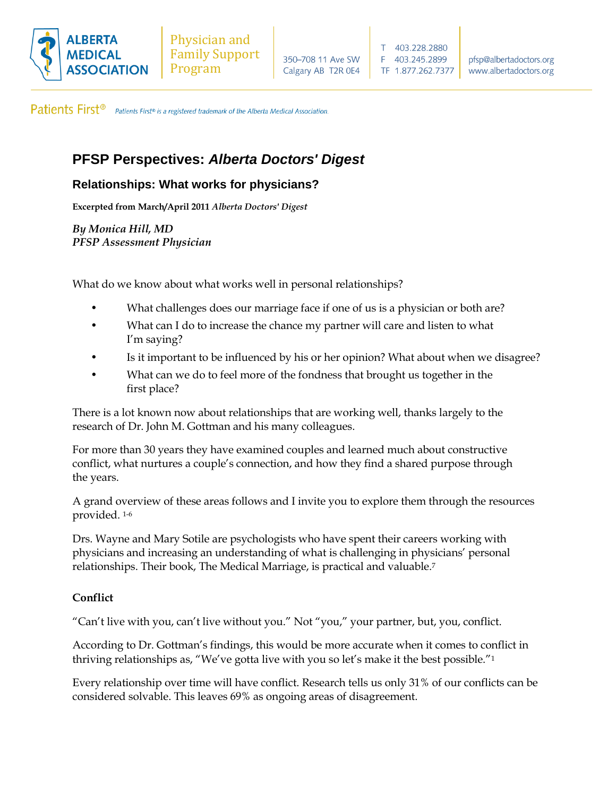

Patients First<sup>®</sup> Patients First® is a registered trademark of the Alberta Medical Association.

# **PFSP Perspectives:** *Alberta Doctors' Digest*

# **Relationships: What works for physicians?**

**Excerpted from March/April 2011** *Alberta Doctors' Digest*

*By Monica Hill, MD PFSP Assessment Physician*

What do we know about what works well in personal relationships?

- What challenges does our marriage face if one of us is a physician or both are?
- What can I do to increase the chance my partner will care and listen to what I'm saying?
- Is it important to be influenced by his or her opinion? What about when we disagree?
- What can we do to feel more of the fondness that brought us together in the first place?

There is a lot known now about relationships that are working well, thanks largely to the research of Dr. John M. Gottman and his many colleagues.

For more than 30 years they have examined couples and learned much about constructive conflict, what nurtures a couple's connection, and how they find a shared purpose through the years.

A grand overview of these areas follows and I invite you to explore them through the resources provided. 1-6

Drs. Wayne and Mary Sotile are psychologists who have spent their careers working with physicians and increasing an understanding of what is challenging in physicians' personal relationships. Their book, The Medical Marriage, is practical and valuable.<sup>7</sup>

# **Conflict**

"Can't live with you, can't live without you." Not "you," your partner, but, you, conflict.

According to Dr. Gottman's findings, this would be more accurate when it comes to conflict in thriving relationships as, "We've gotta live with you so let's make it the best possible."<sup>1</sup>

Every relationship over time will have conflict. Research tells us only 31% of our conflicts can be considered solvable. This leaves 69% as ongoing areas of disagreement.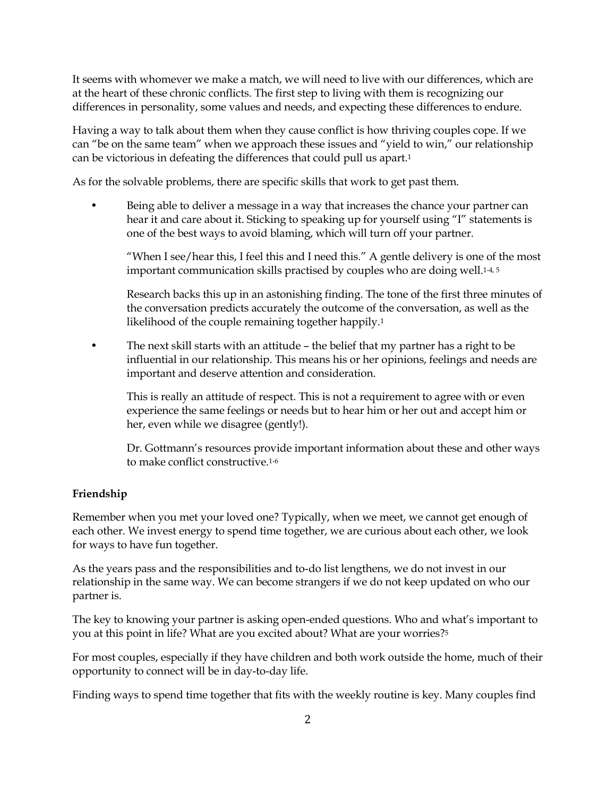It seems with whomever we make a match, we will need to live with our differences, which are at the heart of these chronic conflicts. The first step to living with them is recognizing our differences in personality, some values and needs, and expecting these differences to endure.

Having a way to talk about them when they cause conflict is how thriving couples cope. If we can "be on the same team" when we approach these issues and "yield to win," our relationship can be victorious in defeating the differences that could pull us apart.<sup>1</sup>

As for the solvable problems, there are specific skills that work to get past them.

Being able to deliver a message in a way that increases the chance your partner can hear it and care about it. Sticking to speaking up for yourself using "I" statements is one of the best ways to avoid blaming, which will turn off your partner.

"When I see/hear this, I feel this and I need this." A gentle delivery is one of the most important communication skills practised by couples who are doing well.<sup>1-4, 5</sup>

Research backs this up in an astonishing finding. The tone of the first three minutes of the conversation predicts accurately the outcome of the conversation, as well as the likelihood of the couple remaining together happily.<sup>1</sup>

• The next skill starts with an attitude – the belief that my partner has a right to be influential in our relationship. This means his or her opinions, feelings and needs are important and deserve attention and consideration.

This is really an attitude of respect. This is not a requirement to agree with or even experience the same feelings or needs but to hear him or her out and accept him or her, even while we disagree (gently!).

Dr. Gottmann's resources provide important information about these and other ways to make conflict constructive.1-6

#### **Friendship**

Remember when you met your loved one? Typically, when we meet, we cannot get enough of each other. We invest energy to spend time together, we are curious about each other, we look for ways to have fun together.

As the years pass and the responsibilities and to-do list lengthens, we do not invest in our relationship in the same way. We can become strangers if we do not keep updated on who our partner is.

The key to knowing your partner is asking open-ended questions. Who and what's important to you at this point in life? What are you excited about? What are your worries?<sup>5</sup>

For most couples, especially if they have children and both work outside the home, much of their opportunity to connect will be in day-to-day life.

Finding ways to spend time together that fits with the weekly routine is key. Many couples find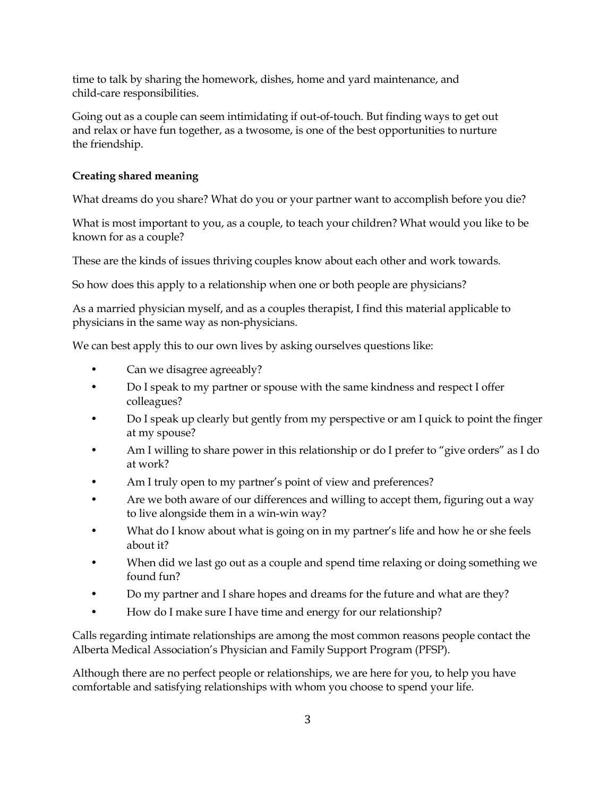time to talk by sharing the homework, dishes, home and yard maintenance, and child-care responsibilities.

Going out as a couple can seem intimidating if out-of-touch. But finding ways to get out and relax or have fun together, as a twosome, is one of the best opportunities to nurture the friendship.

### **Creating shared meaning**

What dreams do you share? What do you or your partner want to accomplish before you die?

What is most important to you, as a couple, to teach your children? What would you like to be known for as a couple?

These are the kinds of issues thriving couples know about each other and work towards.

So how does this apply to a relationship when one or both people are physicians?

As a married physician myself, and as a couples therapist, I find this material applicable to physicians in the same way as non-physicians.

We can best apply this to our own lives by asking ourselves questions like:

- Can we disagree agreeably?
- Do I speak to my partner or spouse with the same kindness and respect I offer colleagues?
- Do I speak up clearly but gently from my perspective or am I quick to point the finger at my spouse?
- Am I willing to share power in this relationship or do I prefer to "give orders" as I do at work?
- Am I truly open to my partner's point of view and preferences?
- Are we both aware of our differences and willing to accept them, figuring out a way to live alongside them in a win-win way?
- What do I know about what is going on in my partner's life and how he or she feels about it?
- When did we last go out as a couple and spend time relaxing or doing something we found fun?
- Do my partner and I share hopes and dreams for the future and what are they?
- How do I make sure I have time and energy for our relationship?

Calls regarding intimate relationships are among the most common reasons people contact the Alberta Medical Association's Physician and Family Support Program (PFSP).

Although there are no perfect people or relationships, we are here for you, to help you have comfortable and satisfying relationships with whom you choose to spend your life.